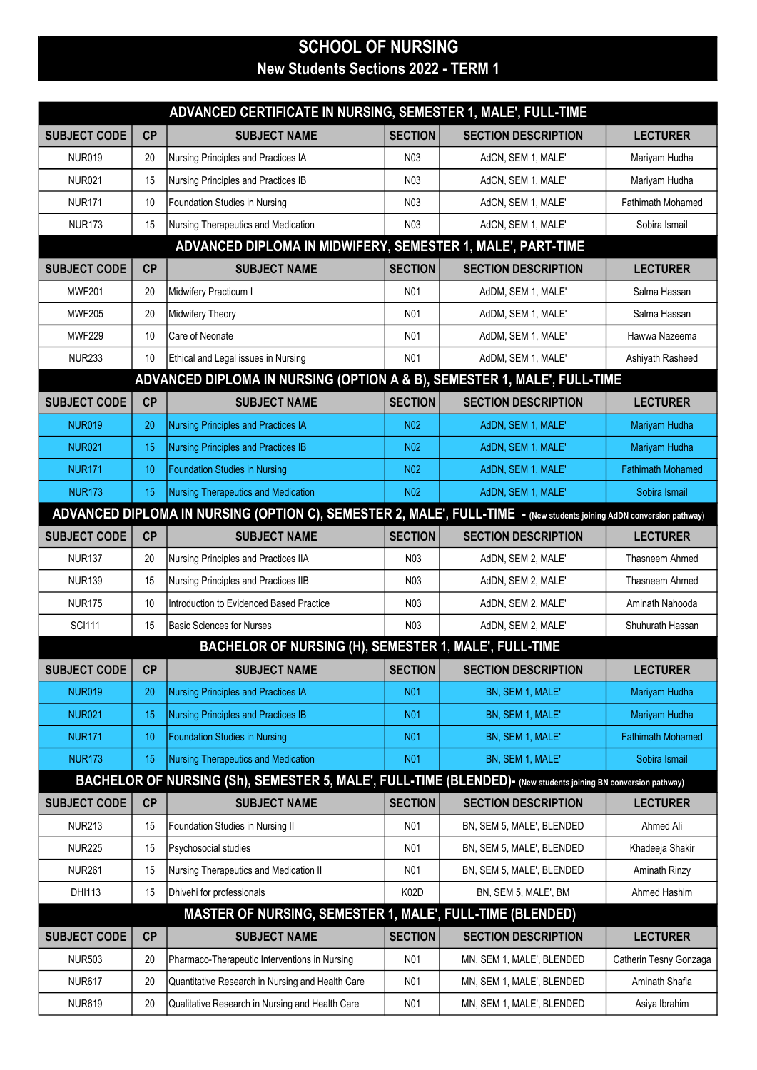## SCHOOL OF NURSING New Students Sections 2022 - TERM 1

| ADVANCED CERTIFICATE IN NURSING, SEMESTER 1, MALE', FULL-TIME |    |                                                                                                                       |                   |                            |                          |  |  |
|---------------------------------------------------------------|----|-----------------------------------------------------------------------------------------------------------------------|-------------------|----------------------------|--------------------------|--|--|
| <b>SUBJECT CODE</b>                                           | CP | <b>SUBJECT NAME</b>                                                                                                   | <b>SECTION</b>    | <b>SECTION DESCRIPTION</b> | <b>LECTURER</b>          |  |  |
| <b>NUR019</b>                                                 | 20 | Nursing Principles and Practices IA                                                                                   | N03               | AdCN, SEM 1, MALE'         | Mariyam Hudha            |  |  |
| <b>NUR021</b>                                                 | 15 | Nursing Principles and Practices IB                                                                                   | N <sub>0</sub> 3  | AdCN, SEM 1, MALE'         | Mariyam Hudha            |  |  |
| <b>NUR171</b>                                                 | 10 | Foundation Studies in Nursing                                                                                         | N <sub>0</sub> 3  | AdCN, SEM 1, MALE'         | Fathimath Mohamed        |  |  |
| <b>NUR173</b>                                                 | 15 | Nursing Therapeutics and Medication                                                                                   | N03               | AdCN, SEM 1, MALE'         | Sobira Ismail            |  |  |
|                                                               |    | ADVANCED DIPLOMA IN MIDWIFERY, SEMESTER 1, MALE', PART-TIME                                                           |                   |                            |                          |  |  |
| <b>SUBJECT CODE</b>                                           | CP | <b>SUBJECT NAME</b>                                                                                                   | <b>SECTION</b>    | <b>SECTION DESCRIPTION</b> | <b>LECTURER</b>          |  |  |
| <b>MWF201</b>                                                 | 20 | Midwifery Practicum I                                                                                                 | N <sub>01</sub>   | AdDM, SEM 1, MALE'         | Salma Hassan             |  |  |
| <b>MWF205</b>                                                 | 20 | Midwifery Theory                                                                                                      | N01               | AdDM, SEM 1, MALE'         | Salma Hassan             |  |  |
| <b>MWF229</b>                                                 | 10 | <b>Care of Neonate</b>                                                                                                | N <sub>0</sub> 1  | AdDM, SEM 1, MALE'         | Hawwa Nazeema            |  |  |
| <b>NUR233</b>                                                 | 10 | Ethical and Legal issues in Nursing                                                                                   | N01               | AdDM, SEM 1, MALE'         | Ashiyath Rasheed         |  |  |
|                                                               |    | ADVANCED DIPLOMA IN NURSING (OPTION A & B), SEMESTER 1, MALE', FULL-TIME                                              |                   |                            |                          |  |  |
| <b>SUBJECT CODE</b>                                           | CP | <b>SUBJECT NAME</b>                                                                                                   | <b>SECTION</b>    | <b>SECTION DESCRIPTION</b> | <b>LECTURER</b>          |  |  |
| <b>NUR019</b>                                                 | 20 | Nursing Principles and Practices IA                                                                                   | <b>N02</b>        | AdDN, SEM 1, MALE'         | Mariyam Hudha            |  |  |
| <b>NUR021</b>                                                 | 15 | <b>Nursing Principles and Practices IB</b>                                                                            | <b>N02</b>        | AdDN, SEM 1, MALE'         | Mariyam Hudha            |  |  |
| <b>NUR171</b>                                                 | 10 | <b>Foundation Studies in Nursing</b>                                                                                  | N <sub>02</sub>   | AdDN, SEM 1, MALE'         | <b>Fathimath Mohamed</b> |  |  |
| <b>NUR173</b>                                                 | 15 | <b>Nursing Therapeutics and Medication</b>                                                                            | N <sub>02</sub>   | AdDN, SEM 1, MALE'         | Sobira Ismail            |  |  |
|                                                               |    | ADVANCED DIPLOMA IN NURSING (OPTION C), SEMESTER 2, MALE', FULL-TIME - (New students joining AdDN conversion pathway) |                   |                            |                          |  |  |
| <b>SUBJECT CODE</b>                                           | CP | <b>SUBJECT NAME</b>                                                                                                   | <b>SECTION</b>    | <b>SECTION DESCRIPTION</b> | <b>LECTURER</b>          |  |  |
| <b>NUR137</b>                                                 | 20 | Nursing Principles and Practices IIA                                                                                  | N03               | AdDN, SEM 2, MALE'         | Thasneem Ahmed           |  |  |
| <b>NUR139</b>                                                 | 15 | Nursing Principles and Practices IIB                                                                                  | N03               | AdDN, SEM 2, MALE'         | Thasneem Ahmed           |  |  |
| <b>NUR175</b>                                                 | 10 | Introduction to Evidenced Based Practice                                                                              | N03               | AdDN, SEM 2, MALE'         | Aminath Nahooda          |  |  |
| <b>SCI111</b>                                                 | 15 | Basic Sciences for Nurses                                                                                             | N <sub>0</sub> 3  | AdDN, SEM 2, MALE'         | Shuhurath Hassan         |  |  |
|                                                               |    | BACHELOR OF NURSING (H), SEMESTER 1, MALE', FULL-TIME                                                                 |                   |                            |                          |  |  |
| SUBJECT CODE   CP                                             |    | <b>SUBJECT NAME</b>                                                                                                   | <b>SECTION</b>    | <b>SECTION DESCRIPTION</b> | <b>LECTURER</b>          |  |  |
| <b>NUR019</b>                                                 | 20 | Nursing Principles and Practices IA                                                                                   | <b>N01</b>        | BN, SEM 1, MALE'           | Mariyam Hudha            |  |  |
| <b>NUR021</b>                                                 | 15 | Nursing Principles and Practices IB                                                                                   | <b>N01</b>        | BN, SEM 1, MALE'           | Mariyam Hudha            |  |  |
| <b>NUR171</b>                                                 | 10 | <b>Foundation Studies in Nursing</b>                                                                                  | <b>N01</b>        | BN, SEM 1, MALE'           | <b>Fathimath Mohamed</b> |  |  |
| <b>NUR173</b>                                                 | 15 | Nursing Therapeutics and Medication                                                                                   | <b>N01</b>        | BN, SEM 1, MALE'           | Sobira Ismail            |  |  |
|                                                               |    | BACHELOR OF NURSING (Sh), SEMESTER 5, MALE', FULL-TIME (BLENDED)- (New students joining BN conversion pathway)        |                   |                            |                          |  |  |
| <b>SUBJECT CODE</b>                                           | CP | <b>SUBJECT NAME</b>                                                                                                   | <b>SECTION</b>    | <b>SECTION DESCRIPTION</b> | <b>LECTURER</b>          |  |  |
| <b>NUR213</b>                                                 | 15 | Foundation Studies in Nursing II                                                                                      | N <sub>0</sub> 1  | BN, SEM 5, MALE', BLENDED  | Ahmed Ali                |  |  |
| <b>NUR225</b>                                                 | 15 | Psychosocial studies                                                                                                  | N <sub>0</sub> 1  | BN, SEM 5, MALE', BLENDED  | Khadeeja Shakir          |  |  |
| <b>NUR261</b>                                                 | 15 | Nursing Therapeutics and Medication II                                                                                | N <sub>0</sub> 1  | BN, SEM 5, MALE', BLENDED  | Aminath Rinzy            |  |  |
| DHI113                                                        | 15 | Dhivehi for professionals                                                                                             | K <sub>02</sub> D | BN, SEM 5, MALE', BM       | Ahmed Hashim             |  |  |
|                                                               |    | MASTER OF NURSING, SEMESTER 1, MALE', FULL-TIME (BLENDED)                                                             |                   |                            |                          |  |  |
| <b>SUBJECT CODE</b>                                           | CP | <b>SUBJECT NAME</b>                                                                                                   | <b>SECTION</b>    | <b>SECTION DESCRIPTION</b> | <b>LECTURER</b>          |  |  |
| <b>NUR503</b>                                                 | 20 | Pharmaco-Therapeutic Interventions in Nursing                                                                         | N01               | MN, SEM 1, MALE', BLENDED  | Catherin Tesny Gonzaga   |  |  |
| <b>NUR617</b>                                                 | 20 | Quantitative Research in Nursing and Health Care                                                                      | N01               | MN, SEM 1, MALE', BLENDED  | Aminath Shafia           |  |  |
| <b>NUR619</b>                                                 | 20 | Qualitative Research in Nursing and Health Care                                                                       | N01               | MN, SEM 1, MALE', BLENDED  | Asiya Ibrahim            |  |  |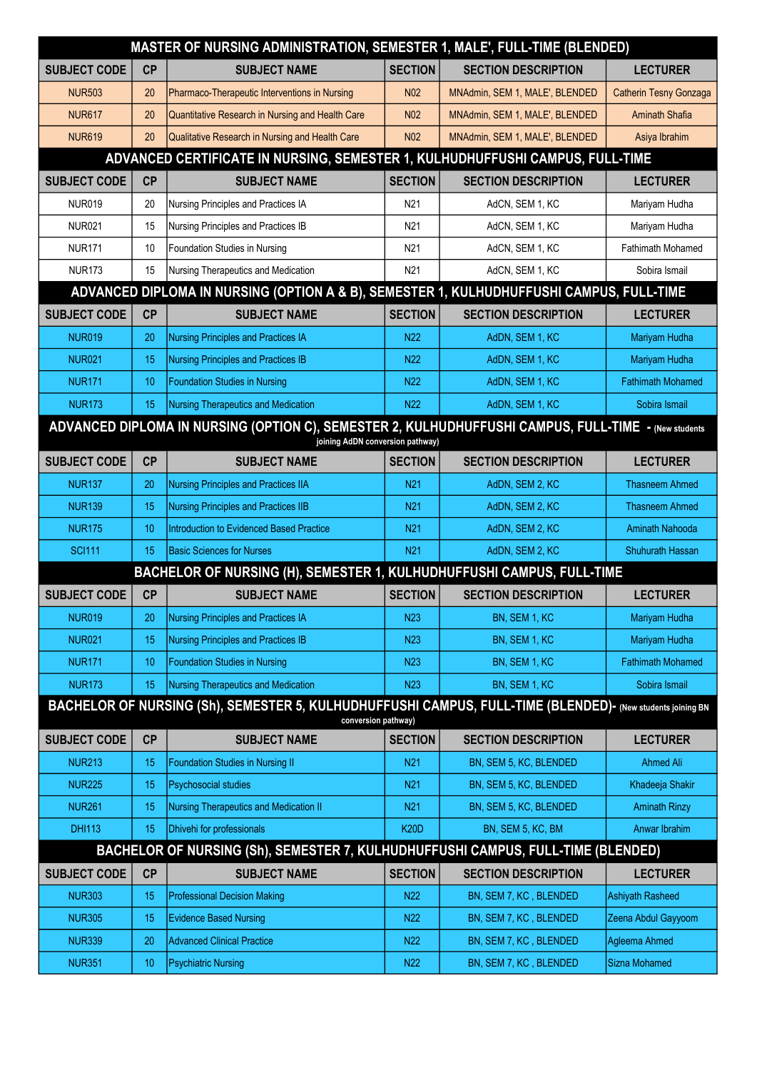| MASTER OF NURSING ADMINISTRATION, SEMESTER 1, MALE', FULL-TIME (BLENDED)                                                                 |    |                                                                                                                                   |                 |                                |                               |  |  |
|------------------------------------------------------------------------------------------------------------------------------------------|----|-----------------------------------------------------------------------------------------------------------------------------------|-----------------|--------------------------------|-------------------------------|--|--|
| <b>SUBJECT CODE</b>                                                                                                                      | CP | <b>SUBJECT NAME</b>                                                                                                               | <b>SECTION</b>  | <b>SECTION DESCRIPTION</b>     | <b>LECTURER</b>               |  |  |
| <b>NUR503</b>                                                                                                                            | 20 | Pharmaco-Therapeutic Interventions in Nursing                                                                                     | N <sub>02</sub> | MNAdmin, SEM 1, MALE', BLENDED | <b>Catherin Tesny Gonzaga</b> |  |  |
| <b>NUR617</b>                                                                                                                            | 20 | Quantitative Research in Nursing and Health Care                                                                                  | N <sub>02</sub> | MNAdmin, SEM 1, MALE', BLENDED | <b>Aminath Shafia</b>         |  |  |
| <b>NUR619</b>                                                                                                                            | 20 | Qualitative Research in Nursing and Health Care                                                                                   | N <sub>02</sub> | MNAdmin, SEM 1, MALE', BLENDED | Asiya Ibrahim                 |  |  |
|                                                                                                                                          |    | ADVANCED CERTIFICATE IN NURSING, SEMESTER 1, KULHUDHUFFUSHI CAMPUS, FULL-TIME                                                     |                 |                                |                               |  |  |
| <b>SUBJECT CODE</b>                                                                                                                      | CP | <b>SUBJECT NAME</b>                                                                                                               | <b>SECTION</b>  | <b>SECTION DESCRIPTION</b>     | <b>LECTURER</b>               |  |  |
| <b>NUR019</b>                                                                                                                            | 20 | Nursing Principles and Practices IA                                                                                               | N <sub>21</sub> | AdCN, SEM 1, KC                | Mariyam Hudha                 |  |  |
| <b>NUR021</b>                                                                                                                            | 15 | Nursing Principles and Practices IB                                                                                               | N <sub>21</sub> | AdCN, SEM 1, KC                | Mariyam Hudha                 |  |  |
| <b>NUR171</b>                                                                                                                            | 10 | Foundation Studies in Nursing                                                                                                     | N21             | AdCN, SEM 1, KC                | <b>Fathimath Mohamed</b>      |  |  |
| <b>NUR173</b>                                                                                                                            | 15 | Nursing Therapeutics and Medication                                                                                               | N21             | AdCN, SEM 1, KC                | Sobira Ismail                 |  |  |
|                                                                                                                                          |    | ADVANCED DIPLOMA IN NURSING (OPTION A & B), SEMESTER 1, KULHUDHUFFUSHI CAMPUS, FULL-TIME                                          |                 |                                |                               |  |  |
| <b>SUBJECT CODE</b>                                                                                                                      | CP | <b>SUBJECT NAME</b>                                                                                                               | <b>SECTION</b>  | <b>SECTION DESCRIPTION</b>     | <b>LECTURER</b>               |  |  |
| <b>NUR019</b>                                                                                                                            | 20 | Nursing Principles and Practices IA                                                                                               | N <sub>22</sub> | AdDN, SEM 1, KC                | Mariyam Hudha                 |  |  |
| <b>NUR021</b>                                                                                                                            | 15 | Nursing Principles and Practices IB                                                                                               | N <sub>22</sub> | AdDN, SEM 1, KC                | Mariyam Hudha                 |  |  |
| <b>NUR171</b>                                                                                                                            | 10 | <b>Foundation Studies in Nursing</b>                                                                                              | N <sub>22</sub> | AdDN, SEM 1, KC                | <b>Fathimath Mohamed</b>      |  |  |
| <b>NUR173</b>                                                                                                                            | 15 | Nursing Therapeutics and Medication                                                                                               | N <sub>22</sub> | AdDN, SEM 1, KC                | Sobira Ismail                 |  |  |
| ADVANCED DIPLOMA IN NURSING (OPTION C), SEMESTER 2, KULHUDHUFFUSHI CAMPUS, FULL-TIME - (New students<br>joining AdDN conversion pathway) |    |                                                                                                                                   |                 |                                |                               |  |  |
| <b>SUBJECT CODE</b>                                                                                                                      | CP | <b>SUBJECT NAME</b>                                                                                                               | <b>SECTION</b>  | <b>SECTION DESCRIPTION</b>     | <b>LECTURER</b>               |  |  |
| <b>NUR137</b>                                                                                                                            | 20 | <b>Nursing Principles and Practices IIA</b>                                                                                       | N <sub>21</sub> | AdDN, SEM 2, KC                | <b>Thasneem Ahmed</b>         |  |  |
| <b>NUR139</b>                                                                                                                            | 15 | Nursing Principles and Practices IIB                                                                                              | N <sub>21</sub> | AdDN, SEM 2, KC                | <b>Thasneem Ahmed</b>         |  |  |
| <b>NUR175</b>                                                                                                                            | 10 | Introduction to Evidenced Based Practice                                                                                          | N <sub>21</sub> | AdDN, SEM 2, KC                | Aminath Nahooda               |  |  |
| <b>SCI111</b>                                                                                                                            | 15 | <b>Basic Sciences for Nurses</b>                                                                                                  | N <sub>21</sub> | AdDN, SEM 2, KC                | Shuhurath Hassan              |  |  |
|                                                                                                                                          |    | BACHELOR OF NURSING (H), SEMESTER 1, KULHUDHUFFUSHI CAMPUS, FULL-TIME                                                             |                 |                                |                               |  |  |
| <b>SUBJECT CODE</b>                                                                                                                      | CP | <b>SUBJECT NAME</b>                                                                                                               | <b>SECTION</b>  | <b>SECTION DESCRIPTION</b>     | <b>LECTURER</b>               |  |  |
| <b>NUR019</b>                                                                                                                            | 20 | Nursing Principles and Practices IA                                                                                               | <b>N23</b>      | BN, SEM 1, KC                  | Mariyam Hudha                 |  |  |
| <b>NUR021</b>                                                                                                                            | 15 | Nursing Principles and Practices IB                                                                                               | <b>N23</b>      | BN, SEM 1, KC                  | Mariyam Hudha                 |  |  |
| <b>NUR171</b>                                                                                                                            | 10 | <b>Foundation Studies in Nursing</b>                                                                                              | <b>N23</b>      | BN, SEM 1, KC                  | <b>Fathimath Mohamed</b>      |  |  |
| <b>NUR173</b>                                                                                                                            | 15 | Nursing Therapeutics and Medication                                                                                               | <b>N23</b>      | BN, SEM 1, KC                  | Sobira Ismail                 |  |  |
|                                                                                                                                          |    | BACHELOR OF NURSING (Sh), SEMESTER 5, KULHUDHUFFUSHI CAMPUS, FULL-TIME (BLENDED)- (New students joining BN<br>conversion pathway) |                 |                                |                               |  |  |
| <b>SUBJECT CODE</b>                                                                                                                      | CP | <b>SUBJECT NAME</b>                                                                                                               | <b>SECTION</b>  | <b>SECTION DESCRIPTION</b>     | <b>LECTURER</b>               |  |  |
| <b>NUR213</b>                                                                                                                            | 15 | <b>Foundation Studies in Nursing II</b>                                                                                           | N <sub>21</sub> | BN, SEM 5, KC, BLENDED         | <b>Ahmed Ali</b>              |  |  |
| <b>NUR225</b>                                                                                                                            | 15 | Psychosocial studies                                                                                                              | N <sub>21</sub> | BN, SEM 5, KC, BLENDED         | Khadeeja Shakir               |  |  |
| <b>NUR261</b>                                                                                                                            | 15 | Nursing Therapeutics and Medication II                                                                                            | <b>N21</b>      | BN, SEM 5, KC, BLENDED         | <b>Aminath Rinzy</b>          |  |  |
| <b>DHI113</b>                                                                                                                            | 15 | Dhivehi for professionals                                                                                                         | <b>K20D</b>     | BN, SEM 5, KC, BM              | Anwar Ibrahim                 |  |  |
|                                                                                                                                          |    | BACHELOR OF NURSING (Sh), SEMESTER 7, KULHUDHUFFUSHI CAMPUS, FULL-TIME (BLENDED)                                                  |                 |                                |                               |  |  |
| <b>SUBJECT CODE</b>                                                                                                                      | CP | <b>SUBJECT NAME</b>                                                                                                               | <b>SECTION</b>  | <b>SECTION DESCRIPTION</b>     | <b>LECTURER</b>               |  |  |
| <b>NUR303</b>                                                                                                                            | 15 | <b>Professional Decision Making</b>                                                                                               | <b>N22</b>      | BN, SEM 7, KC, BLENDED         | Ashiyath Rasheed              |  |  |
| <b>NUR305</b>                                                                                                                            | 15 | <b>Evidence Based Nursing</b>                                                                                                     | <b>N22</b>      | BN, SEM 7, KC, BLENDED         | Zeena Abdul Gayyoom           |  |  |
| <b>NUR339</b>                                                                                                                            | 20 | <b>Advanced Clinical Practice</b>                                                                                                 | <b>N22</b>      | BN, SEM 7, KC, BLENDED         | Agleema Ahmed                 |  |  |
| <b>NUR351</b>                                                                                                                            | 10 | <b>Psychiatric Nursing</b>                                                                                                        | <b>N22</b>      | BN, SEM 7, KC, BLENDED         | Sizna Mohamed                 |  |  |